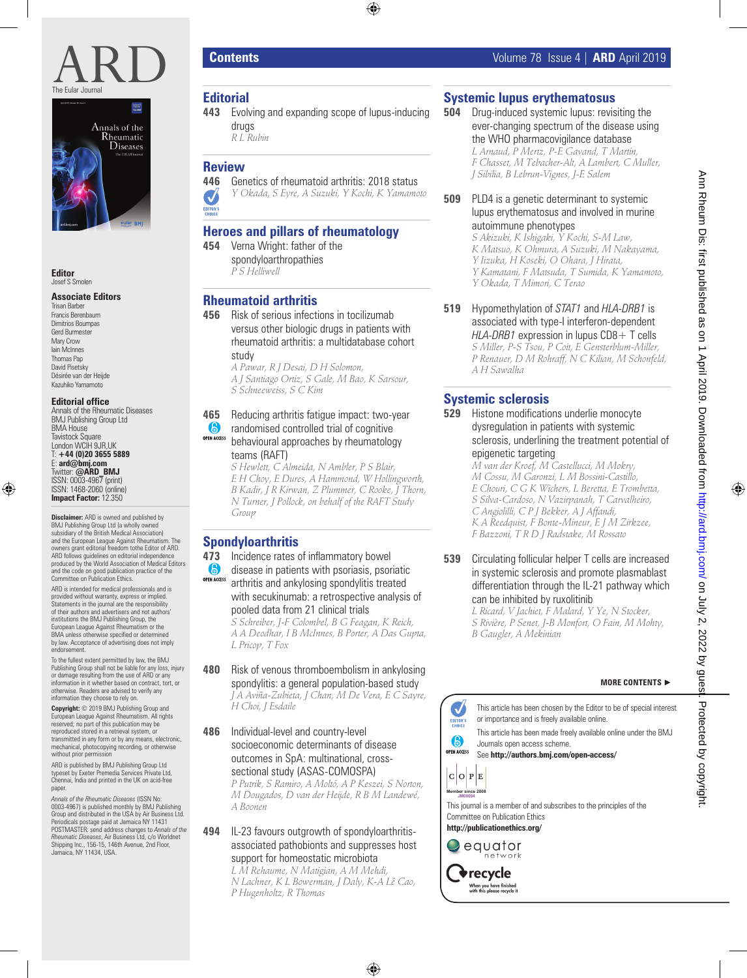



**Editor** Josef S Smolen

#### **Associate Editors**

Trisan Barber Francis Berenbaum Dimitrios Boumpas Gerd Burmester Mary Crow lain McInnes Thomas Pap David Pisetsky Désirée van der Heijde Kazuhiko Yamamoto

#### **Editorial office**

Annals of the Rheumatic Diseases BMJ Publishing Group Ltd **BMA** House Tavistock Square London WCIH 9JR, LIK T: **+44 (0)20 3655 5889** E: **ard@bmj.com** Twitter: **@ARD\_BMJ** ISSN: 0003-4967 (print) ISSN: 1468-2060 (online) **Impact Factor:** 12.350

**Disclaimer:** ARD is owned and published by BMJ Publishing Group Ltd (a wholly owned subsidiary of the British Medical Association) and the European League Against Rheumatism. The owners grant editorial freedom tothe Editor of ARD. ARD follows guidelines on editorial independence produced by the World Association of Medical Editors and the code on good publication practice of the Committee on Publication Ethics.

ARD is intended for medical professionals and is provided without warranty, express or implied. Statements in the journal are the responsibility of their authors and advertisers and not authors' institutions the BMJ Publishing Group, the European League Against Rheumatism or the BMA unless otherwise specified or determined by law. Acceptance of advertising does not imply endorsement.

To the fullest extent permitted by law, the BMJ Publishing Group shall not be liable for any loss, injury or damage resulting from the use of ARD or any information in it whether based on contract, tort, or otherwise. Readers are advised to verify any information they choose to rely on.

**Copyright:** © 2019 BMJ Publishing Group and European League Against Rheumatism. All rights reserved; no part of this publication may be reproduced stored in a retrieval system, or transmitted in any form or by any means, electronic, mechanical, photocopying recording, or otherwise without prior permission

ARD is published by BMJ Publishing Group Ltd typeset by Exeter Premedia Services Private Ltd, Chennai, India and printed in the UK on acid-free paper

*Annals of the Rheumatic Diseases* (ISSN No: 0003-4967) is published monthly by BMJ Publishing Group and distributed in the USA by Air Business Ltd. Periodicals postage paid at Jamaica NY 11431 POSTMASTER: send address changes to *Annals of the Rheumatic Diseases*, Air Business Ltd, c/o Worldnet Shipping Inc., 156-15, 146th Avenue, 2nd Floor, Jamaica, NY 11434, USA.

### **Editorial**

**443** Evolving and expanding scope of lupus-inducing drugs

*R L Rubin*

# **Review**

**446** Genetics of rheumatoid arthritis: 2018 status *Y Okada, S Eyre, A Suzuki, Y Kochi, K Yamamoto* J

# **Heroes and pillars of rheumatology**

**454** Verna Wright: father of the spondyloarthropathies *P S Helliwell*

# **Rheumatoid arthritis**

**456** Risk of serious infections in tocilizumab versus other biologic drugs in patients with rheumatoid arthritis: a multidatabase cohort study

*A Pawar, R J Desai, D H Solomon, A J Santiago Ortiz, S Gale, M Bao, K Sarsour, S Schneeweiss, S C Kim*

#### **465** Reducing arthritis fatigue impact: two-year 6 randomised controlled trial of cognitive **OPEN ACCESS** behavioural approaches by rheumatology teams (RAFT)

*S Hewlett, C Almeida, N Ambler, P S Blair, E H Choy, E Dures, A Hammond, W Hollingworth, B Kadir, J R Kirwan, Z Plummer, C Rooke, J Thorn, N Turner, J Pollock, on behalf of the RAFT Study Group*

# **Spondyloarthritis**

**473** Incidence rates of inflammatory bowel 6 disease in patients with psoriasis, psoriatic **OPEN ACCESS** arthritis and ankylosing spondylitis treated with secukinumab: a retrospective analysis of pooled data from 21 clinical trials

*S Schreiber, J-F Colombel, B G Feagan, K Reich, A A Deodhar, I B McInnes, B Porter, A Das Gupta, L Pricop, T Fox*

#### **480** Risk of venous thromboembolism in ankylosing spondylitis: a general population-based study *J A Aviña-Zubieta, J Chan, M De Vera, E C Sayre,*

*H Choi, J Esdaile*

#### **486** Individual-level and country-level socioeconomic determinants of disease outcomes in SpA: multinational, crosssectional study (ASAS-COMOSPA)

*P Putrik, S Ramiro, A Moltó, A P Keszei, S Norton, M Dougados, D van der Heijde, R B M Landewé, A Boonen*

#### **494** IL-23 favours outgrowth of spondyloarthritisassociated pathobionts and suppresses host support for homeostatic microbiota

*L M Rehaume, N Matigian, A M Mehdi, N Lachner, K L Bowerman, J Daly, K-A Lê Cao, P Hugenholtz, R Thomas*

# **Systemic lupus erythematosus**

**504** Drug-induced systemic lupus: revisiting the ever-changing spectrum of the disease using the WHO pharmacovigilance database *L Arnaud, P Mertz, P-E Gavand, T Martin, F Chasset, M Tebacher-Alt, A Lambert, C Muller, J Sibilia, B Lebrun-Vignes, J-E Salem*

#### **509** PLD4 is a genetic determinant to systemic lupus erythematosus and involved in murine autoimmune phenotypes

*S Akizuki, K Ishigaki, Y Kochi, S-M Law, K Matsuo, K Ohmura, A Suzuki, M Nakayama, Y Iizuka, H Koseki, O Ohara, J Hirata, Y Kamatani, F Matsuda, T Sumida, K Yamamoto, Y Okada, T Mimori, C Terao*

**519** Hypomethylation of *STAT1* and *HLA-DRB1* is associated with type-I interferon-dependent *HLA-DRB1* expression in lupus CD8 + T cells *S Miller, P-S Tsou, P Coit, E Gensterblum-Miller, P Renauer, D M Rohraff, N C Kilian, M Schonfeld, A H Sawalha*

# **Systemic sclerosis**

#### **529** Histone modifications underlie monocyte dysregulation in patients with systemic sclerosis, underlining the treatment potential of epigenetic targeting

*M van der Kroef, M Castellucci, M Mokry, M Cossu, M Garonzi, L M Bossini-Castillo, E Chouri, C G K Wichers, L Beretta, E Trombetta, S Silva-Cardoso, N Vazirpanah, T Carvalheiro, C Angiolilli, C P J Bekker, A J Affandi, K A Reedquist, F Bonte-Mineur, E J M Zirkzee, F Bazzoni, T R D J Radstake, M Rossato*

### **539** Circulating follicular helper T cells are increased in systemic sclerosis and promote plasmablast differentiation through the IL-21 pathway which can be inhibited by ruxolitinib

*L Ricard, V Jachiet, F Malard, Y Ye, N Stocker, S Rivière, P Senet, J-B Monfort, O Fain, M Mohty, B Gaugler, A Mekinian*

**MORE CONTENTS** ►

#### $\boldsymbol{J}$ This article has been chosen by the Editor to be of special interest or importance and is freely available online. EDITOR'S This article has been made freely available online under the BMJ 6 Journals open access scheme. **OPEN ACCESS** See **http://authors.bmj.com/open-access/**  $|C|O|P|E$ **Member since 2008 JM00004** This journal is a member of and subscribes to the principles of the Committee on Publication Ethics **http://publicationethics.org/**